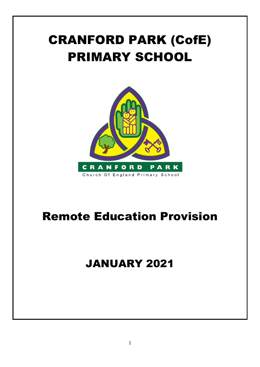# CRANFORD PARK (CofE) PRIMARY SCHOOL



# Remote Education Provision

## JANUARY 2021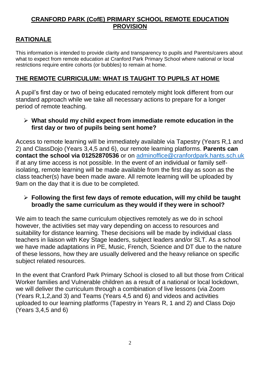#### **CRANFORD PARK (CofE) PRIMARY SCHOOL REMOTE EDUCATION PROVISION**

#### **RATIONALE**

This information is intended to provide clarity and transparency to pupils and Parents/carers about what to expect from remote education at Cranford Park Primary School where national or local restrictions require entire cohorts (or bubbles) to remain at home.

#### **THE REMOTE CURRICULUM: WHAT IS TAUGHT TO PUPILS AT HOME**

A pupil's first day or two of being educated remotely might look different from our standard approach while we take all necessary actions to prepare for a longer period of remote teaching.

#### ➢ **What should my child expect from immediate remote education in the first day or two of pupils being sent home?**

Access to remote learning will be immediately available via Tapestry (Years R,1 and 2) and ClassDojo (Years 3,4,5 and 6), our remote learning platforms. **Parents can contact the school via 01252870536** or on [adminoffice@cranfordpark.hants.sch.uk](mailto:adminoffice@cranfordpark.hants.sch.uk) if at any time access is not possible. In the event of an individual or family selfisolating, remote learning will be made available from the first day as soon as the class teacher(s) have been made aware. All remote learning will be uploaded by 9am on the day that it is due to be completed.

#### ➢ **Following the first few days of remote education, will my child be taught broadly the same curriculum as they would if they were in school?**

We aim to teach the same curriculum objectives remotely as we do in school however, the activities set may vary depending on access to resources and suitability for distance learning. These decisions will be made by individual class teachers in liaison with Key Stage leaders, subject leaders and/or SLT. As a school we have made adaptations in PE, Music, French, Science and DT due to the nature of these lessons, how they are usually delivered and the heavy reliance on specific subject related resources.

In the event that Cranford Park Primary School is closed to all but those from Critical Worker families and Vulnerable children as a result of a national or local lockdown, we will deliver the curriculum through a combination of live lessons (via Zoom (Years R,1,2,and 3) and Teams (Years 4,5 and 6) and videos and activities uploaded to our learning platforms (Tapestry in Years R, 1 and 2) and Class Dojo (Years 3,4,5 and 6)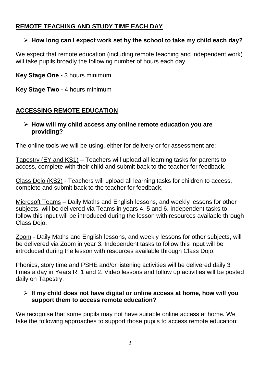#### **REMOTE TEACHING AND STUDY TIME EACH DAY**

#### ➢ **How long can I expect work set by the school to take my child each day?**

We expect that remote education (including remote teaching and independent work) will take pupils broadly the following number of hours each day.

**Key Stage One -** 3 hours minimum

**Key Stage Two -** 4 hours minimum

#### **ACCESSING REMOTE EDUCATION**

#### ➢ **How will my child access any online remote education you are providing?**

The online tools we will be using, either for delivery or for assessment are:

Tapestry (EY and KS1) – Teachers will upload all learning tasks for parents to access, complete with their child and submit back to the teacher for feedback.

Class Dojo (KS2) - Teachers will upload all learning tasks for children to access, complete and submit back to the teacher for feedback.

Microsoft Teams – Daily Maths and English lessons, and weekly lessons for other subjects, will be delivered via Teams in years 4, 5 and 6. Independent tasks to follow this input will be introduced during the lesson with resources available through Class Dojo.

Zoom - Daily Maths and English lessons, and weekly lessons for other subjects, will be delivered via Zoom in year 3. Independent tasks to follow this input will be introduced during the lesson with resources available through Class Dojo.

Phonics, story time and PSHE and/or listening activities will be delivered daily 3 times a day in Years R, 1 and 2. Video lessons and follow up activities will be posted daily on Tapestry.

#### ➢ **If my child does not have digital or online access at home, how will you support them to access remote education?**

We recognise that some pupils may not have suitable online access at home. We take the following approaches to support those pupils to access remote education: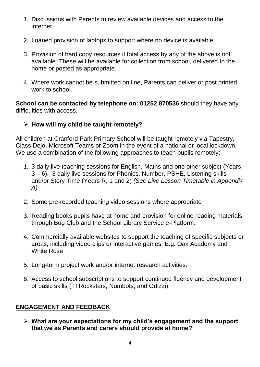- 1. Discussions with Parents to review available devices and access to the internet
- 2. Loaned provision of laptops to support where no device is available
- 3. Provision of hard copy resources if total access by any of the above is not available. These will be available for collection from school, delivered to the home or posted as appropriate.
- 4. Where work cannot be submitted on line, Parents can deliver or post printed work to school.

**School can be contacted by telephone on: 01252 870536** should they have any difficulties with access.

#### ➢ **How will my child be taught remotely?**

All children at Cranford Park Primary School will be taught remotely via Tapestry, Class Dojo, Microsoft Teams or Zoom in the event of a national or local lockdown. We use a combination of the following approaches to teach pupils remotely:

- *1.* 3 daily live teaching sessions for English, Maths and one other subject (Years 3 – 6). 3 daily live sessions for Phonics, Number, PSHE, Listening skills and/or Story Time (Years R, 1 and 2) *(See Live Lesson Timetable in Appendix A)*
- 2. Some pre-recorded teaching video sessions where appropriate
- 3. Reading books pupils have at home and provision for online reading materials through Bug Club and the School Library Service e-Platform.
- 4. Commercially available websites to support the teaching of specific subjects or areas, including video clips or interactive games. E.g. Oak Academy and White Rose
- 5. Long-term project work and/or internet research activities.
- 6. Access to school subscriptions to support continued fluency and development of basic skills (TTRockstars, Numbots, and Odizzi).

#### **ENGAGEMENT AND FEEDBACK**

➢ **What are your expectations for my child's engagement and the support that we as Parents and carers should provide at home?**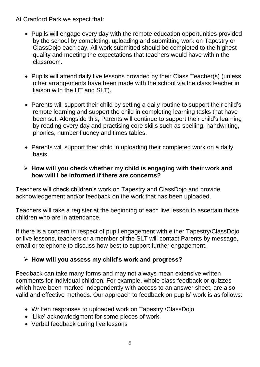At Cranford Park we expect that:

- Pupils will engage every day with the remote education opportunities provided by the school by completing, uploading and submitting work on Tapestry or ClassDojo each day. All work submitted should be completed to the highest quality and meeting the expectations that teachers would have within the classroom.
- Pupils will attend daily live lessons provided by their Class Teacher(s) (unless other arrangements have been made with the school via the class teacher in liaison with the HT and SLT).
- Parents will support their child by setting a daily routine to support their child's remote learning and support the child in completing learning tasks that have been set. Alongside this, Parents will continue to support their child's learning by reading every day and practising core skills such as spelling, handwriting, phonics, number fluency and times tables.
- Parents will support their child in uploading their completed work on a daily basis.

#### ➢ **How will you check whether my child is engaging with their work and how will I be informed if there are concerns?**

Teachers will check children's work on Tapestry and ClassDojo and provide acknowledgement and/or feedback on the work that has been uploaded.

Teachers will take a register at the beginning of each live lesson to ascertain those children who are in attendance.

If there is a concern in respect of pupil engagement with either Tapestry/ClassDojo or live lessons, teachers or a member of the SLT will contact Parents by message, email or telephone to discuss how best to support further engagement.

#### ➢ **How will you assess my child's work and progress?**

Feedback can take many forms and may not always mean extensive written comments for individual children. For example, whole class feedback or quizzes which have been marked independently with access to an answer sheet, are also valid and effective methods. Our approach to feedback on pupils' work is as follows:

- Written responses to uploaded work on Tapestry /ClassDojo
- 'Like' acknowledgment for some pieces of work
- Verbal feedback during live lessons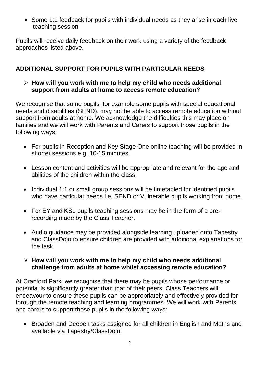• Some 1:1 feedback for pupils with individual needs as they arise in each live teaching session

Pupils will receive daily feedback on their work using a variety of the feedback approaches listed above.

#### **ADDITIONAL SUPPORT FOR PUPILS WITH PARTICULAR NEEDS**

#### ➢ **How will you work with me to help my child who needs additional support from adults at home to access remote education?**

We recognise that some pupils, for example some pupils with special educational needs and disabilities (SEND), may not be able to access remote education without support from adults at home. We acknowledge the difficulties this may place on families and we will work with Parents and Carers to support those pupils in the following ways:

- For pupils in Reception and Key Stage One online teaching will be provided in shorter sessions e.g. 10-15 minutes.
- Lesson content and activities will be appropriate and relevant for the age and abilities of the children within the class.
- Individual 1:1 or small group sessions will be timetabled for identified pupils who have particular needs i.e. SEND or Vulnerable pupils working from home.
- For EY and KS1 pupils teaching sessions may be in the form of a prerecording made by the Class Teacher.
- Audio guidance may be provided alongside learning uploaded onto Tapestry and ClassDojo to ensure children are provided with additional explanations for the task.

#### ➢ **How will you work with me to help my child who needs additional challenge from adults at home whilst accessing remote education?**

At Cranford Park, we recognise that there may be pupils whose performance or potential is significantly greater than that of their peers. Class Teachers will endeavour to ensure these pupils can be appropriately and effectively provided for through the remote teaching and learning programmes. We will work with Parents and carers to support those pupils in the following ways:

• Broaden and Deepen tasks assigned for all children in English and Maths and available via Tapestry/ClassDojo.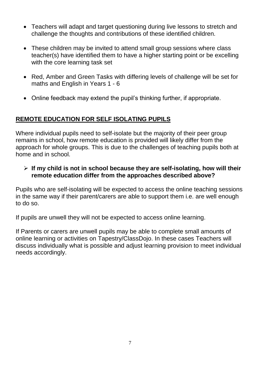- Teachers will adapt and target questioning during live lessons to stretch and challenge the thoughts and contributions of these identified children.
- These children may be invited to attend small group sessions where class teacher(s) have identified them to have a higher starting point or be excelling with the core learning task set
- Red, Amber and Green Tasks with differing levels of challenge will be set for maths and English in Years 1 - 6
- Online feedback may extend the pupil's thinking further, if appropriate.

#### **REMOTE EDUCATION FOR SELF ISOLATING PUPILS**

Where individual pupils need to self-isolate but the majority of their peer group remains in school, how remote education is provided will likely differ from the approach for whole groups. This is due to the challenges of teaching pupils both at home and in school.

#### ➢ **If my child is not in school because they are self-isolating, how will their remote education differ from the approaches described above?**

Pupils who are self-isolating will be expected to access the online teaching sessions in the same way if their parent/carers are able to support them i.e. are well enough to do so.

If pupils are unwell they will not be expected to access online learning.

If Parents or carers are unwell pupils may be able to complete small amounts of online learning or activities on Tapestry/ClassDojo. In these cases Teachers will discuss individually what is possible and adjust learning provision to meet individual needs accordingly.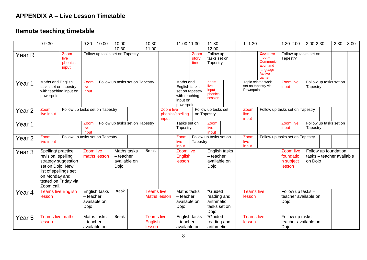### **APPENDIX A – Live Lesson Timetable**

### **Remote teaching timetable**

|                   | 9-9.30                                                                                                                                                              |                                  |                                                                                 | $10.00 -$<br>$9.30 - 10.00$<br>10.30 |                                 | $10.30 -$<br>11.00 |                                               | 11.00-11.30                                                                              |                                                  | $11.30 -$<br>12.00                                          |                                                              | $1 - 1.30$ |                                                                                | 1.30-2.00                                     | 2.00-2.30                                                    |                                    | $2.30 - 3.00$ |  |
|-------------------|---------------------------------------------------------------------------------------------------------------------------------------------------------------------|----------------------------------|---------------------------------------------------------------------------------|--------------------------------------|---------------------------------|--------------------|-----------------------------------------------|------------------------------------------------------------------------------------------|--------------------------------------------------|-------------------------------------------------------------|--------------------------------------------------------------|------------|--------------------------------------------------------------------------------|-----------------------------------------------|--------------------------------------------------------------|------------------------------------|---------------|--|
| Year R            |                                                                                                                                                                     | Zoom<br>live<br>phonics<br>input |                                                                                 | Follow up tasks set on Tapestry      |                                 |                    |                                               |                                                                                          | Zoom<br>story<br>time                            | Follow up<br>tasks set on<br>Tapestry                       |                                                              |            | Zoom live<br>$input -$<br>Communic<br>ation and<br>language<br>/active<br>qame | Follow up tasks set on<br>Tapestry            |                                                              |                                    |               |  |
| Year 1            | Maths and English<br>tasks set on tapestry<br>with teaching input on<br>powerpoint                                                                                  |                                  | Zoom<br>live<br>input                                                           | Follow up tasks set on Tapestry      |                                 |                    |                                               | Maths and<br>English tasks<br>set on tapestry<br>with teaching<br>input on<br>powerpoint |                                                  | Zoom<br>live<br>$input -$<br>phonics<br>session             |                                                              |            | Topic related work<br>Zoom live<br>set on tapestry via<br>input<br>Powerpoint  |                                               | Tapestry                                                     | Follow up tasks set on             |               |  |
| Year <sub>2</sub> | Zoom<br>live input                                                                                                                                                  | Follow up tasks set on Tapestry  |                                                                                 |                                      |                                 |                    |                                               | Zoom live<br>input                                                                       | phonics/spelling                                 |                                                             | Follow up tasks set<br>on Tapestry                           |            | Follow up tasks set on Tapestry<br>Zoom<br>live<br>input                       |                                               |                                                              |                                    |               |  |
| Year 1            |                                                                                                                                                                     |                                  | Zoom<br>live<br>input                                                           |                                      | Follow up tasks set on Tapestry |                    |                                               |                                                                                          | Tasks set on<br>Tapestry                         |                                                             | Zoom<br>live<br>input                                        |            |                                                                                |                                               | Zoom live<br>input                                           | Follow up tasks set on<br>Tapestry |               |  |
| Year <sub>2</sub> | Zoom<br>live input                                                                                                                                                  | Follow up tasks set on Tapestry  |                                                                                 |                                      |                                 |                    |                                               |                                                                                          |                                                  | Zoom<br>Follow up tasks set on<br>live<br>Tapestry<br>input |                                                              |            | Zoom<br>live<br>input                                                          | Follow up tasks set on Tapestry               |                                                              |                                    |               |  |
| Year <sub>3</sub> | Spelling/ practice<br>revision, spelling<br>strategy suggestion<br>set on Dojo. New<br>list of spellings set<br>on Monday and<br>tested on Friday via<br>Zoom call. |                                  | Zoom live<br>Maths tasks<br>maths lesson<br>$-$ teacher<br>available on<br>Dojo |                                      |                                 | <b>Break</b>       |                                               | Zoom live<br>English<br>lesson                                                           |                                                  | English tasks<br>$-$ teacher<br>available on<br>Dojo        |                                                              |            |                                                                                | Zoom live<br>foundatio<br>n subject<br>lesson | Follow up foundation<br>tasks - teacher available<br>on Dojo |                                    |               |  |
| Year 4            | <b>Teams live English</b><br>lesson                                                                                                                                 |                                  | English tasks<br>$-$ teacher<br>available on<br>Dojo                            |                                      | <b>Break</b>                    |                    | <b>Teams live</b><br><b>Maths lesson</b>      |                                                                                          | Maths tasks<br>- teacher<br>available on<br>Dojo |                                                             | *Guided<br>reading and<br>arithmetic<br>tasks set on<br>Dojo |            | <b>Teams live</b><br>lesson                                                    |                                               | Follow up tasks -<br>teacher available on<br>Dojo            |                                    |               |  |
| Year <sub>5</sub> | <b>Teams live maths</b><br>lesson                                                                                                                                   |                                  | Maths tasks<br>$-$ teacher<br>available on                                      |                                      | <b>Break</b>                    |                    | <b>Teams live</b><br><b>English</b><br>lesson |                                                                                          | English tasks<br>- teacher<br>available on       |                                                             | *Guided<br>reading and<br>arithmetic                         |            | <b>Teams live</b><br>lesson                                                    |                                               | Follow up tasks -<br>teacher available on<br>Dojo            |                                    |               |  |